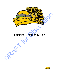

## Municipal Emergency Plan

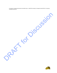s:\emergency management\restricted access\bdem plans - drafts\2019 emergency management plans\2019-02 -emergencymanagement-plan.docx

ORAFT for Discussion

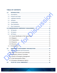## **TABLE OF CONTENTS**

| 1.0 |                |
|-----|----------------|
| 1.1 |                |
| 1.2 | 5 <sup>1</sup> |
| 1.3 |                |
| 1.4 | $\blacksquare$ |
| 1.5 |                |
| 1.6 |                |
| 1.7 |                |
|     |                |
| 2.1 |                |
| 2.2 |                |
| 2.3 |                |
|     |                |
|     |                |
|     |                |
|     |                |
|     |                |
|     |                |
| 3.0 |                |
| 3.1 |                |
|     |                |
|     |                |
|     |                |
|     |                |
|     |                |
| 4.0 |                |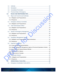| 4.1 |                                                                             |    |
|-----|-----------------------------------------------------------------------------|----|
| 4.2 |                                                                             |    |
| 4.3 |                                                                             |    |
| 4.4 |                                                                             |    |
| 5.0 |                                                                             |    |
| 5.1 |                                                                             |    |
|     |                                                                             | 18 |
|     |                                                                             |    |
| 5.2 |                                                                             |    |
|     |                                                                             |    |
| 5.3 |                                                                             |    |
|     |                                                                             |    |
|     |                                                                             |    |
| 5.4 |                                                                             |    |
|     |                                                                             |    |
|     |                                                                             |    |
|     |                                                                             |    |
| 5.5 |                                                                             |    |
|     |                                                                             |    |
|     |                                                                             |    |
| 5.6 |                                                                             |    |
|     |                                                                             |    |
|     | 5.6.2 Alberta Emergency Management Agency (Provincial Operations Centre) 22 |    |
|     |                                                                             |    |
|     |                                                                             |    |
|     |                                                                             |    |
| 5.7 |                                                                             |    |
|     |                                                                             |    |
|     |                                                                             |    |
| 6.0 |                                                                             |    |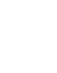## TABE **OCIDEINS**

| $\mathbf{D}$ | <b>TROTO</b>                                | 4            |
|--------------|---------------------------------------------|--------------|
| 1.1          |                                             | $\mathbf{A}$ |
| 1.2          |                                             | $5^{\circ}$  |
| 1.3          |                                             |              |
| 1.4          |                                             |              |
| 1.5          |                                             |              |
| 1.6          |                                             |              |
| 1.7          |                                             |              |
|              | <b>ZCQIPREHENVE</b><br><b>EMERENMANEMEN</b> |              |
| 2.1          |                                             |              |
| 2.2          |                                             |              |
| 2.3          |                                             |              |
|              |                                             |              |
|              |                                             |              |
|              | 12<br>2.3.3 Preparedness                    |              |
|              |                                             |              |
|              |                                             |              |
|              |                                             |              |
| $\mathbf{D}$ | EMERENMANGMENRANTNO                         |              |
| 3.1          |                                             |              |
|              |                                             |              |
|              |                                             |              |
|              |                                             |              |
|              |                                             |              |
|              |                                             |              |
| 40           | STATE OCALEMERESY                           |              |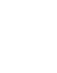| 4.1 |                                                                             |    |
|-----|-----------------------------------------------------------------------------|----|
| 4.2 |                                                                             |    |
| 4.3 |                                                                             |    |
| 4.4 |                                                                             |    |
| 5.0 |                                                                             |    |
| 5.1 |                                                                             |    |
|     |                                                                             | 18 |
|     |                                                                             |    |
| 5.2 |                                                                             |    |
|     |                                                                             |    |
| 5.3 |                                                                             |    |
|     |                                                                             |    |
|     |                                                                             |    |
| 5.4 |                                                                             |    |
|     |                                                                             |    |
|     |                                                                             |    |
|     |                                                                             |    |
| 5.5 |                                                                             |    |
|     |                                                                             |    |
|     |                                                                             |    |
| 5.6 |                                                                             |    |
|     |                                                                             |    |
|     | 5.6.2 Alberta Emergency Management Agency (Provincial Operations Centre) 22 |    |
|     |                                                                             |    |
|     |                                                                             |    |
|     |                                                                             |    |
| 5.7 |                                                                             |    |
|     |                                                                             |    |
|     |                                                                             |    |
| 6.0 |                                                                             |    |